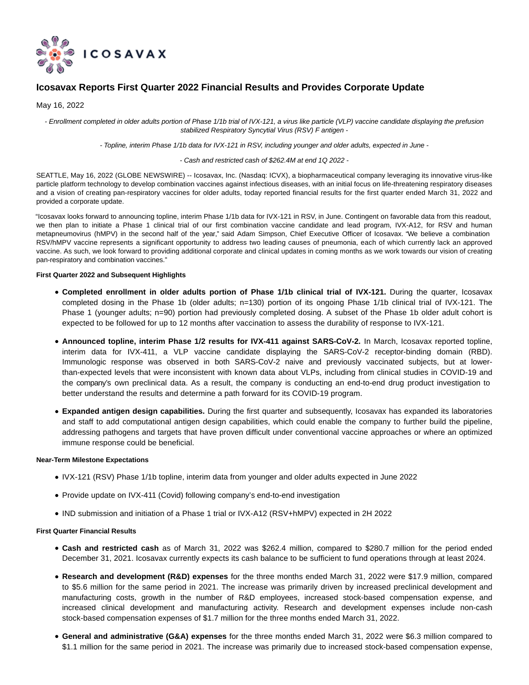

# **Icosavax Reports First Quarter 2022 Financial Results and Provides Corporate Update**

May 16, 2022

- Enrollment completed in older adults portion of Phase 1/1b trial of IVX-121, a virus like particle (VLP) vaccine candidate displaying the prefusion stabilized Respiratory Syncytial Virus (RSV) F antigen -

- Topline, interim Phase 1/1b data for IVX-121 in RSV, including younger and older adults, expected in June -

## - Cash and restricted cash of \$262.4M at end 1Q 2022 -

SEATTLE, May 16, 2022 (GLOBE NEWSWIRE) -- Icosavax, Inc. (Nasdaq: ICVX), a biopharmaceutical company leveraging its innovative virus-like particle platform technology to develop combination vaccines against infectious diseases, with an initial focus on life-threatening respiratory diseases and a vision of creating pan-respiratory vaccines for older adults, today reported financial results for the first quarter ended March 31, 2022 and provided a corporate update.

"Icosavax looks forward to announcing topline, interim Phase 1/1b data for IVX-121 in RSV, in June. Contingent on favorable data from this readout, we then plan to initiate a Phase 1 clinical trial of our first combination vaccine candidate and lead program, IVX-A12, for RSV and human metapneumovirus (hMPV) in the second half of the year," said Adam Simpson, Chief Executive Officer of Icosavax. "We believe a combination RSV/hMPV vaccine represents a significant opportunity to address two leading causes of pneumonia, each of which currently lack an approved vaccine. As such, we look forward to providing additional corporate and clinical updates in coming months as we work towards our vision of creating pan-respiratory and combination vaccines."

## **First Quarter 2022 and Subsequent Highlights**

- **Completed enrollment in older adults portion of Phase 1/1b clinical trial of IVX-121.** During the quarter, Icosavax completed dosing in the Phase 1b (older adults; n=130) portion of its ongoing Phase 1/1b clinical trial of IVX-121. The Phase 1 (younger adults; n=90) portion had previously completed dosing. A subset of the Phase 1b older adult cohort is expected to be followed for up to 12 months after vaccination to assess the durability of response to IVX-121.
- **Announced topline, interim Phase 1/2 results for IVX-411 against SARS-CoV-2.** In March, Icosavax reported topline, interim data for IVX-411, a VLP vaccine candidate displaying the SARS-CoV-2 receptor-binding domain (RBD). Immunologic response was observed in both SARS-CoV-2 naive and previously vaccinated subjects, but at lowerthan-expected levels that were inconsistent with known data about VLPs, including from clinical studies in COVID-19 and the company's own preclinical data. As a result, the company is conducting an end-to-end drug product investigation to better understand the results and determine a path forward for its COVID-19 program.
- **Expanded antigen design capabilities.** During the first quarter and subsequently, Icosavax has expanded its laboratories and staff to add computational antigen design capabilities, which could enable the company to further build the pipeline, addressing pathogens and targets that have proven difficult under conventional vaccine approaches or where an optimized immune response could be beneficial.

## **Near-Term Milestone Expectations**

- IVX-121 (RSV) Phase 1/1b topline, interim data from younger and older adults expected in June 2022
- Provide update on IVX-411 (Covid) following company's end-to-end investigation
- IND submission and initiation of a Phase 1 trial or IVX-A12 (RSV+hMPV) expected in 2H 2022

## **First Quarter Financial Results**

- **Cash and restricted cash** as of March 31, 2022 was \$262.4 million, compared to \$280.7 million for the period ended December 31, 2021. Icosavax currently expects its cash balance to be sufficient to fund operations through at least 2024.
- **Research and development (R&D) expenses** for the three months ended March 31, 2022 were \$17.9 million, compared to \$5.6 million for the same period in 2021. The increase was primarily driven by increased preclinical development and manufacturing costs, growth in the number of R&D employees, increased stock-based compensation expense, and increased clinical development and manufacturing activity. Research and development expenses include non-cash stock-based compensation expenses of \$1.7 million for the three months ended March 31, 2022.
- **General and administrative (G&A) expenses** for the three months ended March 31, 2022 were \$6.3 million compared to \$1.1 million for the same period in 2021. The increase was primarily due to increased stock-based compensation expense,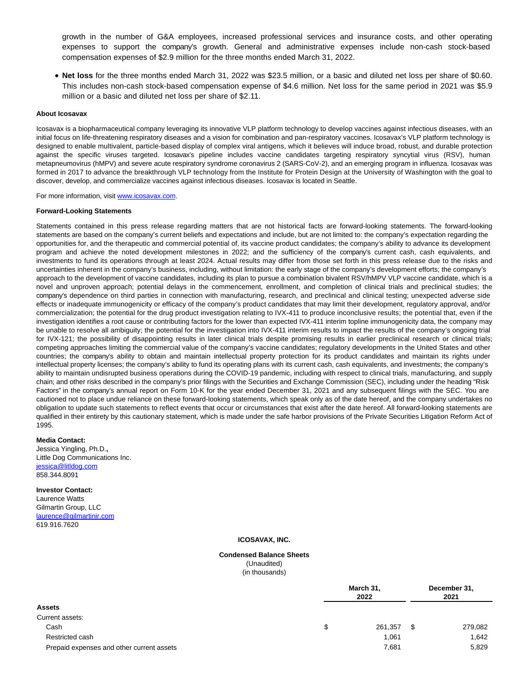growth in the number of G&A employees, increased professional services and insurance costs, and other operating expenses to support the company's growth. General and administrative expenses include non-cash stock-based compensation expenses of \$2.9 million for the three months ended March 31, 2022.

**Net loss** for the three months ended March 31, 2022 was \$23.5 million, or a basic and diluted net loss per share of \$0.60. This includes non-cash stock-based compensation expense of \$4.6 million. Net loss for the same period in 2021 was \$5.9 million or a basic and diluted net loss per share of \$2.11.

#### **About Icosavax**

Icosavax is a biopharmaceutical company leveraging its innovative VLP platform technology to develop vaccines against infectious diseases, with an initial focus on life-threatening respiratory diseases and a vision for combination and pan-respiratory vaccines. Icosavax's VLP platform technology is designed to enable multivalent, particle-based display of complex viral antigens, which it believes will induce broad, robust, and durable protection against the specific viruses targeted. Icosavax's pipeline includes vaccine candidates targeting respiratory syncytial virus (RSV), human metapneumovirus (hMPV) and severe acute respiratory syndrome coronavirus 2 (SARS-CoV-2), and an emerging program in influenza. Icosavax was formed in 2017 to advance the breakthrough VLP technology from the Institute for Protein Design at the University of Washington with the goal to discover, develop, and commercialize vaccines against infectious diseases. Icosavax is located in Seattle.

For more information, visit [www.icosavax.com.](https://www.globenewswire.com/Tracker?data=252pedU0yqRFOlX9V0LW34rrFMCscsJnYxdr2s-eimB0AHHUP_MVEr8RQMwbQn4M0k-nzrDHmytpS7rSCyppZw==)

#### **Forward-Looking Statements**

Statements contained in this press release regarding matters that are not historical facts are forward-looking statements. The forward-looking statements are based on the company's current beliefs and expectations and include, but are not limited to: the company's expectation regarding the opportunities for, and the therapeutic and commercial potential of, its vaccine product candidates; the company's ability to advance its development program and achieve the noted development milestones in 2022; and the sufficiency of the company's current cash, cash equivalents, and investments to fund its operations through at least 2024. Actual results may differ from those set forth in this press release due to the risks and uncertainties inherent in the company's business, including, without limitation: the early stage of the company's development efforts; the company's approach to the development of vaccine candidates, including its plan to pursue a combination bivalent RSV/hMPV VLP vaccine candidate, which is a novel and unproven approach; potential delays in the commencement, enrollment, and completion of clinical trials and preclinical studies; the company's dependence on third parties in connection with manufacturing, research, and preclinical and clinical testing; unexpected adverse side effects or inadequate immunogenicity or efficacy of the company's product candidates that may limit their development, regulatory approval, and/or commercialization; the potential for the drug product investigation relating to IVX-411 to produce inconclusive results; the potential that, even if the investigation identifies a root cause or contributing factors for the lower than expected IVX-411 interim topline immunogenicity data, the company may be unable to resolve all ambiguity; the potential for the investigation into IVX-411 interim results to impact the results of the company's ongoing trial for IVX-121; the possibility of disappointing results in later clinical trials despite promising results in earlier preclinical research or clinical trials; competing approaches limiting the commercial value of the company's vaccine candidates; regulatory developments in the United States and other countries; the company's ability to obtain and maintain intellectual property protection for its product candidates and maintain its rights under intellectual property licenses; the company's ability to fund its operating plans with its current cash, cash equivalents, and investments; the company's ability to maintain undisrupted business operations during the COVID-19 pandemic, including with respect to clinical trials, manufacturing, and supply chain; and other risks described in the company's prior filings with the Securities and Exchange Commission (SEC), including under the heading "Risk Factors" in the company's annual report on Form 10-K for the year ended December 31, 2021 and any subsequent filings with the SEC. You are cautioned not to place undue reliance on these forward-looking statements, which speak only as of the date hereof, and the company undertakes no obligation to update such statements to reflect events that occur or circumstances that exist after the date hereof. All forward-looking statements are qualified in their entirety by this cautionary statement, which is made under the safe harbor provisions of the Private Securities Litigation Reform Act of 1995.

## **Media Contact:**

Jessica Yingling, Ph.D.**,** Little Dog Communications Inc. iessica@litldog.com 858.344.8091

#### **Investor Contact:**

Laurence Watts Gilmartin Group, LLC [laurence@gilmartinir.com](https://www.globenewswire.com/Tracker?data=DZPabKabvgi0FWcCmt5dpXNtmBg2R5K3XArl3p3sR-pgMPAQudg6aBJknPvepW34ti2QSWVqzyvCBzhFs9t4H01juyHQynPIeX6wKq-Eijw=) 619.916.7620

#### **ICOSAVAX, INC.**

#### **Condensed Balance Sheets** (Unaudited)

(in thousands)

|                                           |   | March 31,<br>2022 |      | December 31,<br>2021 |  |
|-------------------------------------------|---|-------------------|------|----------------------|--|
| Assets                                    |   |                   |      |                      |  |
| Current assets:                           |   |                   |      |                      |  |
| Cash                                      | S | 261,357           | - \$ | 279,082              |  |
| Restricted cash                           |   | 1,061             |      | 1,642                |  |
| Prepaid expenses and other current assets |   | 7,681             |      | 5,829                |  |